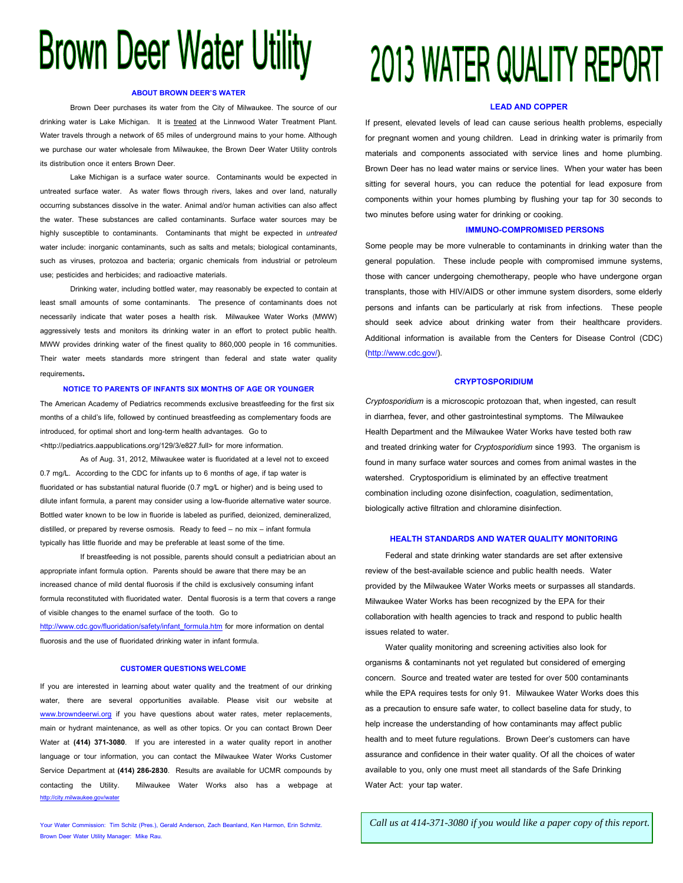# **Brown Deer Water Utility**

#### **ABOUT BROWN DEER'S WATER**

Brown Deer purchases its water from the City of Milwaukee. The source of our drinking water is Lake Michigan. It is treated at the Linnwood Water Treatment Plant. Water travels through a network of 65 miles of underground mains to your home. Although we purchase our water wholesale from Milwaukee, the Brown Deer Water Utility controls its distribution once it enters Brown Deer.

Lake Michigan is a surface water source. Contaminants would be expected in untreated surface water. As water flows through rivers, lakes and over land, naturally occurring substances dissolve in the water. Animal and/or human activities can also affect the water. These substances are called contaminants. Surface water sources may be highly susceptible to contaminants. Contaminants that might be expected in *untreated* water include: inorganic contaminants, such as salts and metals; biological contaminants, such as viruses, protozoa and bacteria; organic chemicals from industrial or petroleum use; pesticides and herbicides; and radioactive materials.

Drinking water, including bottled water, may reasonably be expected to contain at least small amounts of some contaminants. The presence of contaminants does not necessarily indicate that water poses a health risk. Milwaukee Water Works (MWW) aggressively tests and monitors its drinking water in an effort to protect public health. MWW provides drinking water of the finest quality to 860,000 people in 16 communities. Their water meets standards more stringent than federal and state water quality requirements.

#### **NOTICE TO PARENTS OF INFANTS SIX MONTHS OF AGE OR YOUNGER**

The American Academy of Pediatrics recommends exclusive breastfeeding for the first six months of a child's life, followed by continued breastfeeding as complementary foods are introduced, for optimal short and long-term health advantages. Go to <http://pediatrics.aappublications.org/129/3/e827.full> for more information.

As of Aug. 31, 2012, Milwaukee water is fluoridated at a level not to exceed 0.7 mg/L. According to the CDC for infants up to 6 months of age, if tap water is fluoridated or has substantial natural fluoride (0.7 mg/L or higher) and is being used to dilute infant formula, a parent may consider using a low-fluoride alternative water source. Bottled water known to be low in fluoride is labeled as purified, deionized, demineralized, distilled, or prepared by reverse osmosis. Ready to feed – no mix – infant formula typically has little fluoride and may be preferable at least some of the time.

If breastfeeding is not possible, parents should consult a pediatrician about an appropriate infant formula option. Parents should be aware that there may be an increased chance of mild dental fluorosis if the child is exclusively consuming infant formula reconstituted with fluoridated water. Dental fluorosis is a term that covers a range of visible changes to the enamel surface of the tooth. Go to [http://www.cdc.gov/fluoridation/safety/infant](http://www.cdc.gov/fluoridation/safety/infant_formula.htm)**\_**formula.htm for more information on dental fluorosis and the use of fluoridated drinking water in infant formula.

#### **CUSTOMER QUESTIONSWELCOME**

If you are interested in learning about water quality and the treatment of our drinking water, there are several opportunities available. Please visit our website at www.browndeerwi.org if you have questions about water rates, meter replacements, main or hydrant maintenance, as well as other topics. Or you can contact Brown Deer Water at **(414) 371-3080**. If you are interested in a water quality report in another language or tour information, you can contact the Milwaukee Water Works Customer Service Department at **(414) 286-2830**. Results are available for UCMR compounds by contacting the Utility. Milwaukee Water Works also has a webpage at <http://city.milwaukee.gov/water>

Your Water Commission: Tim Schilz (Pres.), Gerald Anderson, Zach Beanland, Ken Harmon, Erin Schmitz. Brown Deer Water Utility Manager: Mike Rau.

## 2013 WATER QUALITY REPORT

#### **LEAD AND COPPER**

If present, elevated levels of lead can cause serious health problems, especially for pregnant women and young children. Lead in drinking water is primarily from materials and components associated with service lines and home plumbing. Brown Deer has no lead water mains or service lines. When your water has been sitting for several hours, you can reduce the potential for lead exposure from components within your homes plumbing by flushing your tap for 30 seconds to two minutes before using water for drinking or cooking.

#### **IMMUNO-COMPROMISED PERSONS**

Some people may be more vulnerable to contaminants in drinking water than the general population. These include people with compromised immune systems, those with cancer undergoing chemotherapy, people who have undergone organ transplants, those with HIV/AIDS or other immune system disorders, some elderly persons and infants can be particularly at risk from infections. These people should seek advice about drinking water from their healthcare providers. Additional information is available from the Centers for Disease Control (CDC) [\(http://www.cdc.gov/\)](http://www.cdc.gov/).

#### **CRYPTOSPORIDIUM**

*Cryptosporidium* is a microscopic protozoan that, when ingested, can result in diarrhea, fever, and other gastrointestinal symptoms. The Milwaukee Health Department and the Milwaukee Water Works have tested both raw and treated drinking water for *Cryptosporidium* since 1993. The organism is found in many surface water sources and comes from animal wastes in the watershed. Cryptosporidium is eliminated by an effective treatment combination including ozone disinfection, coagulation, sedimentation, biologically active filtration and chloramine disinfection.

#### **HEALTH STANDARDS AND WATER QUALITY MONITORING**

Federal and state drinking water standards are set after extensive review of the best-available science and public health needs. Water provided by the Milwaukee Water Works meets or surpasses all standards. Milwaukee Water Works has been recognized by the EPA for their collaboration with health agencies to track and respond to public health issues related to water.

Water quality monitoring and screening activities also look for organisms & contaminants not yet regulated but considered of emerging concern. Source and treated water are tested for over 500 contaminants while the EPA requires tests for only 91. Milwaukee Water Works does this as a precaution to ensure safe water, to collect baseline data for study, to help increase the understanding of how contaminants may affect public health and to meet future regulations. Brown Deer's customers can have assurance and confidence in their water quality. Of all the choices of water available to you, only one must meet all standards of the Safe Drinking Water Act: your tap water.